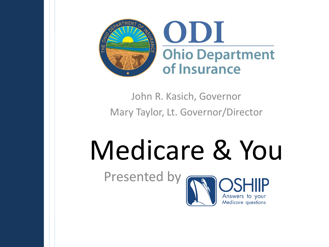

#### John R. Kasich, Governor Mary Taylor, Lt. Governor/Director

# Medicare & You

**Medicare** questions

Presented by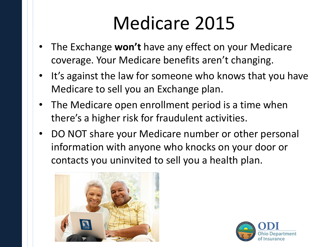# Medicare 2015

- The Exchange **won't** have any effect on your Medicare coverage. Your Medicare benefits aren't changing.
- It's against the law for someone who knows that you have Medicare to sell you an Exchange plan.
- The Medicare open enrollment period is a time when there's a higher risk for fraudulent activities.
- DO NOT share your Medicare number or other personal information with anyone who knocks on your door or contacts you uninvited to sell you a health plan.



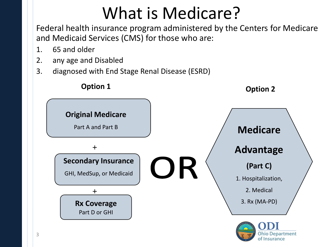### What is Medicare?

Federal health insurance program administered by the Centers for Medicare and Medicaid Services (CMS) for those who are:

- 1. 65 and older
- 2. any age and Disabled
- 3. diagnosed with End Stage Renal Disease (ESRD)

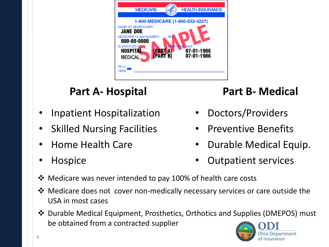| <b>MEDICARE</b>                                                                                                                                                                                                                                                                           | <b>HEALTH INSURANCE</b> |
|-------------------------------------------------------------------------------------------------------------------------------------------------------------------------------------------------------------------------------------------------------------------------------------------|-------------------------|
| 1-800-MEDICARE (1-800-633-4227)<br><b>NAME OF BENEFICIARY</b><br><b>JANE DOE</b><br><b>MEDICARE CLAIM NUMBER</b><br><b>SEI</b><br>000-00-0000<br><b>IS ENTITLED TA</b><br>нст<br>VE DATE<br><b>HOSPITAL</b><br><b>PART</b><br>07-01-1986<br><b>PART B</b><br>07-01-1986<br><b>MEDICAL</b> |                         |
| Slarv<br><b>HERE</b>                                                                                                                                                                                                                                                                      |                         |

#### **Part A- Hospital**

- Inpatient Hospitalization
- **Skilled Nursing Facilities**
- Home Health Care
- Hospice

#### **Part B- Medical**

- Doctors/Providers
- Preventive Benefits
- Durable Medical Equip.
- Outpatient services
- Medicare was never intended to pay 100% of health care costs
- Medicare does not cover non-medically necessary services or care outside the USA in most cases
- Durable Medical Equipment, Prosthetics, Orthotics and Supplies (DMEPOS) must be obtained from a contracted supplier

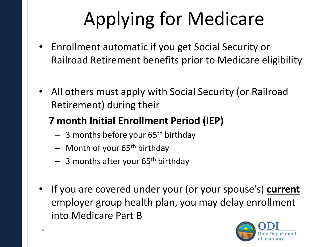# Applying for Medicare

- Enrollment automatic if you get Social Security or Railroad Retirement benefits prior to Medicare eligibility
- All others must apply with Social Security (or Railroad Retirement) during their

#### **7 month Initial Enrollment Period (IEP)**

- $-$  3 months before your 65<sup>th</sup> birthday
- $-$  Month of your 65<sup>th</sup> birthday

04-21-08 5

- $-$  3 months after your 65<sup>th</sup> birthday
- If you are covered under your (or your spouse's) **current** employer group health plan, you may delay enrollment into Medicare Part B

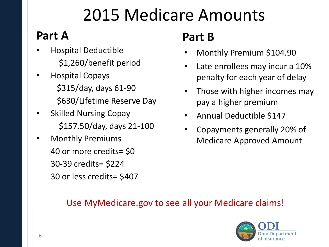### 2015 Medicare Amounts

#### **Part A**

- Hospital Deductible \$1,260/benefit period
- Hospital Copays \$315/day, days 61-90 \$630/Lifetime Reserve Day
- Skilled Nursing Copay \$157.50/day, days 21-100
- Monthly Premiums 40 or more credits= \$0 30-39 credits= \$224 30 or less credits= \$407

#### **Part B**

- Monthly Premium \$104.90
- Late enrollees may incur a 10% penalty for each year of delay
- Those with higher incomes may pay a higher premium
- Annual Deductible \$147
- Copayments generally 20% of Medicare Approved Amount

#### Use MyMedicare.gov to see all your Medicare claims!

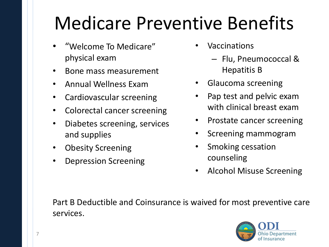# Medicare Preventive Benefits

- "Welcome To Medicare" physical exam
- Bone mass measurement
- Annual Wellness Exam
- Cardiovascular screening
- Colorectal cancer screening
- Diabetes screening, services and supplies
- Obesity Screening
- Depression Screening
- **Vaccinations** 
	- Flu, Pneumococcal & Hepatitis B
- Glaucoma screening
- Pap test and pelvic exam with clinical breast exam
- Prostate cancer screening
- Screening mammogram
- Smoking cessation counseling
- Alcohol Misuse Screening

Part B Deductible and Coinsurance is waived for most preventive care services.

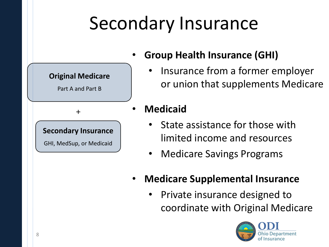# Secondary Insurance



- **Group Health Insurance (GHI)**
	- Insurance from a former employer or union that supplements Medicare
- **Medicaid**
	- State assistance for those with limited income and resources
	- Medicare Savings Programs
- **Medicare Supplemental Insurance**
	- Private insurance designed to coordinate with Original Medicare

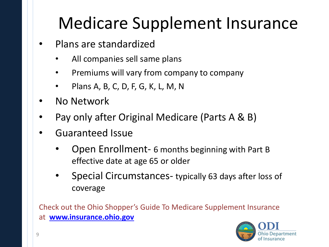### Medicare Supplement Insurance

- Plans are standardized
	- All companies sell same plans
	- Premiums will vary from company to company
	- Plans A, B, C, D, F, G, K, L, M, N
- No Network
- Pay only after Original Medicare (Parts A & B)
- Guaranteed Issue
	- Open Enrollment- 6 months beginning with Part B effective date at age 65 or older
	- Special Circumstances- typically 63 days after loss of coverage

Check out the Ohio Shopper's Guide To Medicare Supplement Insurance at **[www.insurance.ohio.gov](https://www.insurance.ohio.gov/)**

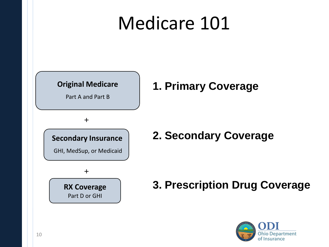### Medicare 101



Part A and Part B

#### **1. Primary Coverage**

+

**Secondary Insurance**

GHI, MedSup, or Medicaid



#### **2. Secondary Coverage**

**RX Coverage 3. Prescription Drug Coverage**

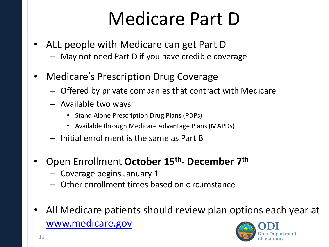## Medicare Part D

- ALL people with Medicare can get Part D
	- May not need Part D if you have credible coverage
- Medicare's Prescription Drug Coverage
	- Offered by private companies that contract with Medicare
	- Available two ways
		- Stand Alone Prescription Drug Plans (PDPs)
		- Available through Medicare Advantage Plans (MAPDs)
	- Initial enrollment is the same as Part B
- Open Enrollment **October 15th - December 7th** 
	- Coverage begins January 1
	- Other enrollment times based on circumstance
- All Medicare patients should review plan options each year at [www.medicare.gov](https://www.medicare.gov/)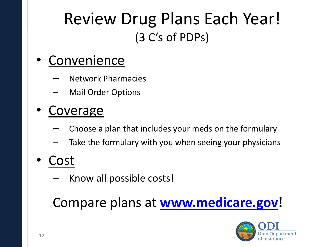#### Review Drug Plans Each Year! (3 C's of PDPs)

#### • Convenience

- Network Pharmacies
- Mail Order Options

#### • Coverage

- Choose a plan that includes your meds on the formulary
- Take the formulary with you when seeing your physicians
- Cost
	- Know all possible costs!

#### Compare plans at **[www.medicare.gov](https://www.medicare.gov/)!**

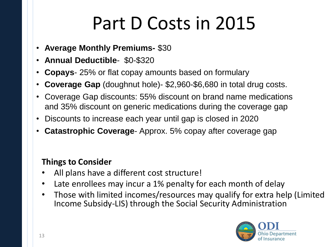# Part D Costs in 2015

- **Average Monthly Premiums-** \$30
- **Annual Deductible** \$0-\$320
- **Copays** 25% or flat copay amounts based on formulary
- **Coverage Gap** (doughnut hole)- \$2,960-\$6,680 in total drug costs.
- Coverage Gap discounts: 55% discount on brand name medications and 35% discount on generic medications during the coverage gap
- Discounts to increase each year until gap is closed in 2020
- **Catastrophic Coverage** Approx. 5% copay after coverage gap

#### **Things to Consider**

- All plans have a different cost structure!
- Late enrollees may incur a 1% penalty for each month of delay
- Those with limited incomes/resources may qualify for extra help (Limited Income Subsidy-LIS) through the Social Security Administration

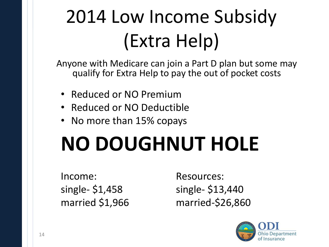# 2014 Low Income Subsidy (Extra Help)

Anyone with Medicare can join a Part D plan but some may qualify for Extra Help to pay the out of pocket costs

- Reduced or NO Premium
- Reduced or NO Deductible
- No more than 15% copays

# **NO DOUGHNUT HOLE**

Income: Resources:

single- \$1,458 single- \$13,440 married \$1,966 married-\$26,860

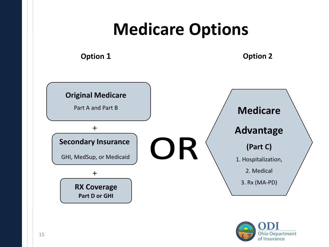#### **Medicare Options**

**Option 1 Option 2**



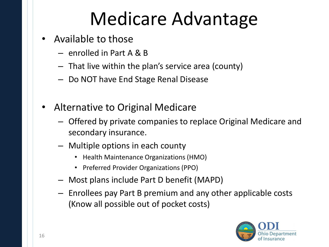# Medicare Advantage

- Available to those
	- enrolled in Part A & B
	- That live within the plan's service area (county)
	- Do NOT have End Stage Renal Disease
- Alternative to Original Medicare
	- Offered by private companies to replace Original Medicare and secondary insurance.
	- Multiple options in each county
		- Health Maintenance Organizations (HMO)
		- Preferred Provider Organizations (PPO)
	- Most plans include Part D benefit (MAPD)
	- Enrollees pay Part B premium and any other applicable costs (Know all possible out of pocket costs)

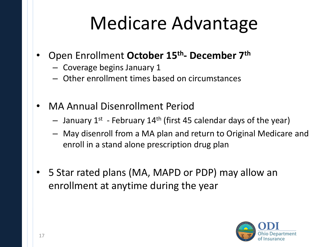## Medicare Advantage

- Open Enrollment **October 15th - December 7th** 
	- Coverage begins January 1
	- Other enrollment times based on circumstances
- MA Annual Disenrollment Period
	- $-$  January 1<sup>st</sup> February 14<sup>th</sup> (first 45 calendar days of the year)
	- May disenroll from a MA plan and return to Original Medicare and enroll in a stand alone prescription drug plan
- 5 Star rated plans (MA, MAPD or PDP) may allow an enrollment at anytime during the year

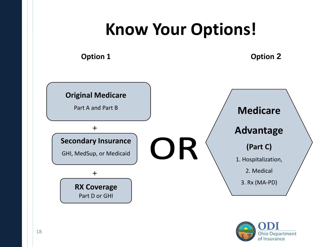### **Know Your Options!**

**Option 1 Option 2** 



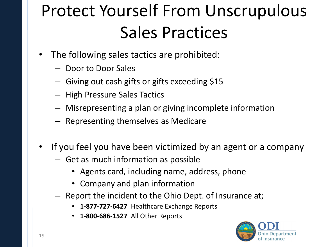## Protect Yourself From Unscrupulous Sales Practices

- The following sales tactics are prohibited:
	- Door to Door Sales
	- Giving out cash gifts or gifts exceeding \$15
	- High Pressure Sales Tactics
	- Misrepresenting a plan or giving incomplete information
	- Representing themselves as Medicare
- If you feel you have been victimized by an agent or a company
	- Get as much information as possible
		- Agents card, including name, address, phone
		- Company and plan information
	- Report the incident to the Ohio Dept. of Insurance at;
		- **1-877-727-6427** Healthcare Exchange Reports
		- **1-800-686-1527** All Other Reports